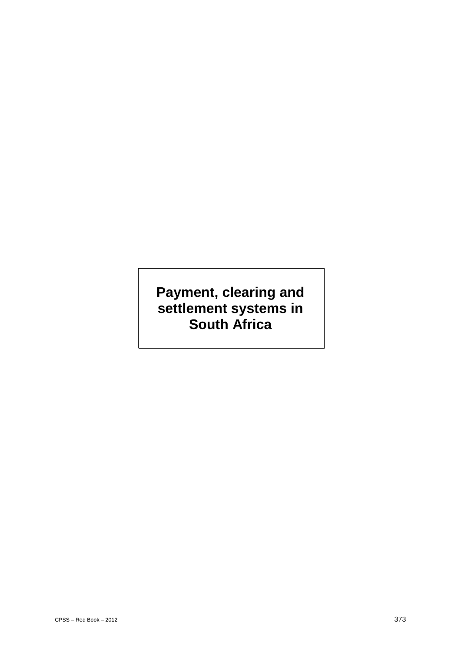# **Payment, clearing and settlement systems in South Africa**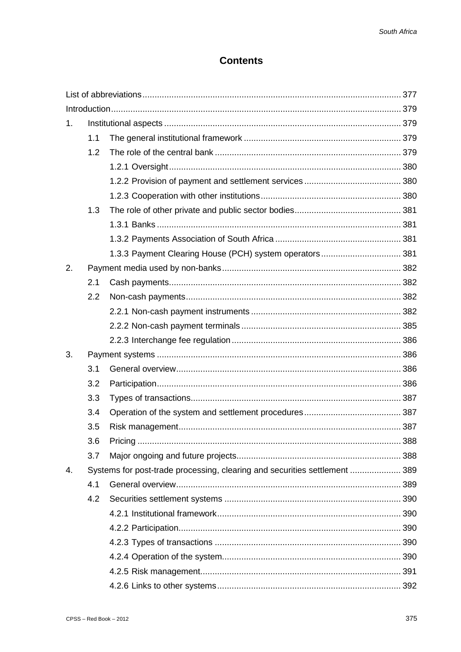# **Contents**

| 1. |                                                                            |                                                         |  |  |
|----|----------------------------------------------------------------------------|---------------------------------------------------------|--|--|
|    | 1.1                                                                        |                                                         |  |  |
|    | 1.2                                                                        |                                                         |  |  |
|    |                                                                            |                                                         |  |  |
|    |                                                                            |                                                         |  |  |
|    |                                                                            |                                                         |  |  |
|    | 1.3                                                                        |                                                         |  |  |
|    |                                                                            |                                                         |  |  |
|    |                                                                            |                                                         |  |  |
|    |                                                                            | 1.3.3 Payment Clearing House (PCH) system operators 381 |  |  |
| 2. |                                                                            |                                                         |  |  |
|    | 2.1                                                                        |                                                         |  |  |
|    | 2.2                                                                        |                                                         |  |  |
|    |                                                                            |                                                         |  |  |
|    |                                                                            |                                                         |  |  |
|    |                                                                            |                                                         |  |  |
| 3. |                                                                            |                                                         |  |  |
|    | 3.1                                                                        |                                                         |  |  |
|    | 3.2                                                                        |                                                         |  |  |
|    | 3.3                                                                        |                                                         |  |  |
|    | 3.4                                                                        |                                                         |  |  |
|    | 3.5                                                                        |                                                         |  |  |
|    | 3.6                                                                        |                                                         |  |  |
|    | 3.7                                                                        |                                                         |  |  |
| 4. | Systems for post-trade processing, clearing and securities settlement  389 |                                                         |  |  |
|    | 4.1                                                                        |                                                         |  |  |
|    | 4.2                                                                        |                                                         |  |  |
|    |                                                                            |                                                         |  |  |
|    |                                                                            |                                                         |  |  |
|    |                                                                            |                                                         |  |  |
|    |                                                                            |                                                         |  |  |
|    |                                                                            |                                                         |  |  |
|    |                                                                            |                                                         |  |  |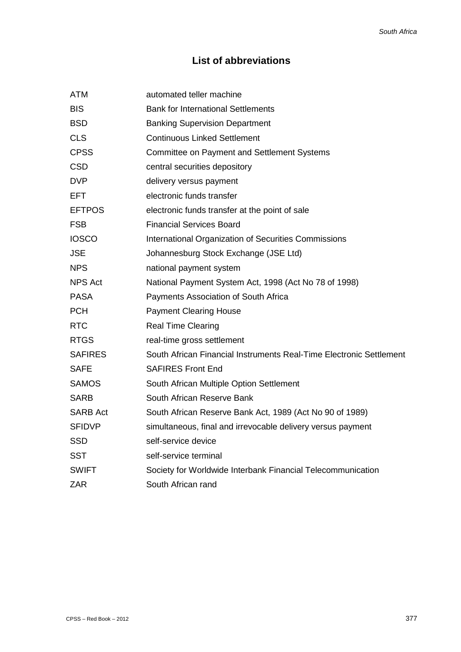# **List of abbreviations**

| <b>ATM</b>      | automated teller machine                                            |
|-----------------|---------------------------------------------------------------------|
| <b>BIS</b>      | <b>Bank for International Settlements</b>                           |
| <b>BSD</b>      | <b>Banking Supervision Department</b>                               |
| <b>CLS</b>      | <b>Continuous Linked Settlement</b>                                 |
| <b>CPSS</b>     | <b>Committee on Payment and Settlement Systems</b>                  |
| <b>CSD</b>      | central securities depository                                       |
| <b>DVP</b>      | delivery versus payment                                             |
| <b>EFT</b>      | electronic funds transfer                                           |
| <b>EFTPOS</b>   | electronic funds transfer at the point of sale                      |
| <b>FSB</b>      | <b>Financial Services Board</b>                                     |
| <b>IOSCO</b>    | International Organization of Securities Commissions                |
| <b>JSE</b>      | Johannesburg Stock Exchange (JSE Ltd)                               |
| <b>NPS</b>      | national payment system                                             |
| NPS Act         | National Payment System Act, 1998 (Act No 78 of 1998)               |
| <b>PASA</b>     | Payments Association of South Africa                                |
| <b>PCH</b>      | <b>Payment Clearing House</b>                                       |
| <b>RTC</b>      | <b>Real Time Clearing</b>                                           |
| <b>RTGS</b>     | real-time gross settlement                                          |
| <b>SAFIRES</b>  | South African Financial Instruments Real-Time Electronic Settlement |
| <b>SAFE</b>     | <b>SAFIRES Front End</b>                                            |
| <b>SAMOS</b>    | South African Multiple Option Settlement                            |
| <b>SARB</b>     | South African Reserve Bank                                          |
| <b>SARB Act</b> | South African Reserve Bank Act, 1989 (Act No 90 of 1989)            |
| <b>SFIDVP</b>   | simultaneous, final and irrevocable delivery versus payment         |
| <b>SSD</b>      | self-service device                                                 |
| <b>SST</b>      | self-service terminal                                               |
| <b>SWIFT</b>    | Society for Worldwide Interbank Financial Telecommunication         |
| <b>ZAR</b>      | South African rand                                                  |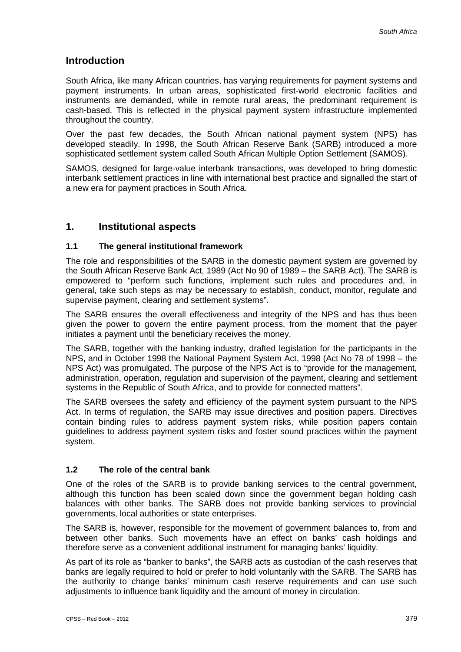# **Introduction**

South Africa, like many African countries, has varying requirements for payment systems and payment instruments. In urban areas, sophisticated first-world electronic facilities and instruments are demanded, while in remote rural areas, the predominant requirement is cash-based. This is reflected in the physical payment system infrastructure implemented throughout the country.

Over the past few decades, the South African national payment system (NPS) has developed steadily. In 1998, the South African Reserve Bank (SARB) introduced a more sophisticated settlement system called South African Multiple Option Settlement (SAMOS).

SAMOS, designed for large-value interbank transactions, was developed to bring domestic interbank settlement practices in line with international best practice and signalled the start of a new era for payment practices in South Africa.

# **1. Institutional aspects**

## **1.1 The general institutional framework**

The role and responsibilities of the SARB in the domestic payment system are governed by the South African Reserve Bank Act, 1989 (Act No 90 of 1989 – the SARB Act). The SARB is empowered to "perform such functions, implement such rules and procedures and, in general, take such steps as may be necessary to establish, conduct, monitor, regulate and supervise payment, clearing and settlement systems".

The SARB ensures the overall effectiveness and integrity of the NPS and has thus been given the power to govern the entire payment process, from the moment that the payer initiates a payment until the beneficiary receives the money.

The SARB, together with the banking industry, drafted legislation for the participants in the NPS, and in October 1998 the National Payment System Act, 1998 (Act No 78 of 1998 – the NPS Act) was promulgated. The purpose of the NPS Act is to "provide for the management, administration, operation, regulation and supervision of the payment, clearing and settlement systems in the Republic of South Africa, and to provide for connected matters".

The SARB oversees the safety and efficiency of the payment system pursuant to the NPS Act. In terms of regulation, the SARB may issue directives and position papers. Directives contain binding rules to address payment system risks, while position papers contain guidelines to address payment system risks and foster sound practices within the payment system.

## **1.2 The role of the central bank**

One of the roles of the SARB is to provide banking services to the central government, although this function has been scaled down since the government began holding cash balances with other banks. The SARB does not provide banking services to provincial governments, local authorities or state enterprises.

The SARB is, however, responsible for the movement of government balances to, from and between other banks. Such movements have an effect on banks' cash holdings and therefore serve as a convenient additional instrument for managing banks' liquidity.

As part of its role as "banker to banks", the SARB acts as custodian of the cash reserves that banks are legally required to hold or prefer to hold voluntarily with the SARB. The SARB has the authority to change banks' minimum cash reserve requirements and can use such adjustments to influence bank liquidity and the amount of money in circulation.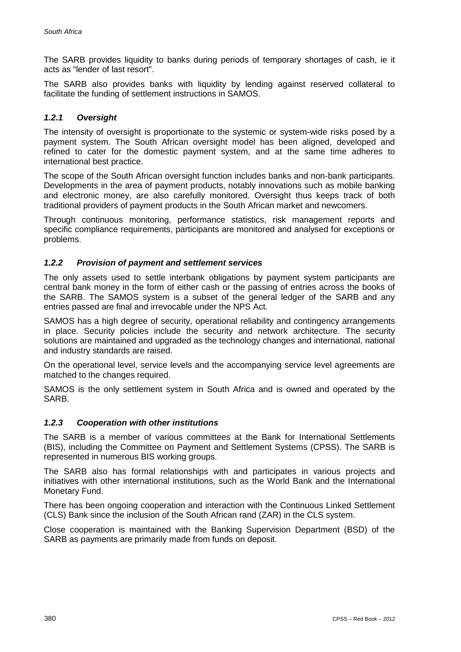The SARB provides liquidity to banks during periods of temporary shortages of cash, ie it acts as "lender of last resort".

The SARB also provides banks with liquidity by lending against reserved collateral to facilitate the funding of settlement instructions in SAMOS.

# *1.2.1 Oversight*

The intensity of oversight is proportionate to the systemic or system-wide risks posed by a payment system. The South African oversight model has been aligned, developed and refined to cater for the domestic payment system, and at the same time adheres to international best practice.

The scope of the South African oversight function includes banks and non-bank participants. Developments in the area of payment products, notably innovations such as mobile banking and electronic money, are also carefully monitored. Oversight thus keeps track of both traditional providers of payment products in the South African market and newcomers.

Through continuous monitoring, performance statistics, risk management reports and specific compliance requirements, participants are monitored and analysed for exceptions or problems.

## *1.2.2 Provision of payment and settlement services*

The only assets used to settle interbank obligations by payment system participants are central bank money in the form of either cash or the passing of entries across the books of the SARB. The SAMOS system is a subset of the general ledger of the SARB and any entries passed are final and irrevocable under the NPS Act.

SAMOS has a high degree of security, operational reliability and contingency arrangements in place. Security policies include the security and network architecture. The security solutions are maintained and upgraded as the technology changes and international, national and industry standards are raised.

On the operational level, service levels and the accompanying service level agreements are matched to the changes required.

SAMOS is the only settlement system in South Africa and is owned and operated by the SARB.

## *1.2.3 Cooperation with other institutions*

The SARB is a member of various committees at the Bank for International Settlements (BIS), including the Committee on Payment and Settlement Systems (CPSS). The SARB is represented in numerous BIS working groups.

The SARB also has formal relationships with and participates in various projects and initiatives with other international institutions, such as the World Bank and the International Monetary Fund.

There has been ongoing cooperation and interaction with the Continuous Linked Settlement (CLS) Bank since the inclusion of the South African rand (ZAR) in the CLS system.

Close cooperation is maintained with the Banking Supervision Department (BSD) of the SARB as payments are primarily made from funds on deposit.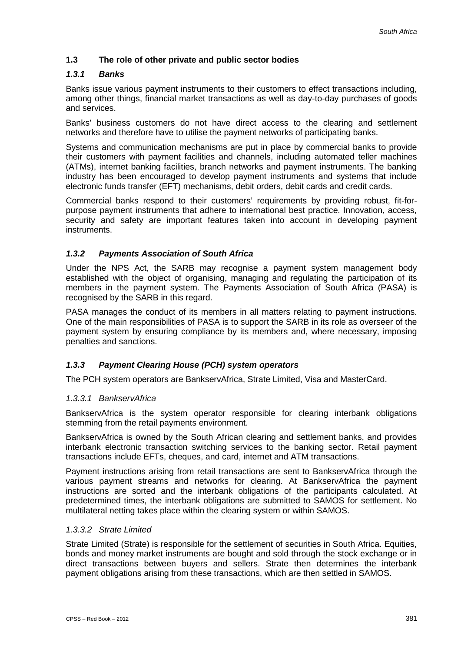# **1.3 The role of other private and public sector bodies**

## *1.3.1 Banks*

Banks issue various payment instruments to their customers to effect transactions including, among other things, financial market transactions as well as day-to-day purchases of goods and services.

Banks' business customers do not have direct access to the clearing and settlement networks and therefore have to utilise the payment networks of participating banks.

Systems and communication mechanisms are put in place by commercial banks to provide their customers with payment facilities and channels, including automated teller machines (ATMs), internet banking facilities, branch networks and payment instruments. The banking industry has been encouraged to develop payment instruments and systems that include electronic funds transfer (EFT) mechanisms, debit orders, debit cards and credit cards.

Commercial banks respond to their customers' requirements by providing robust, fit-forpurpose payment instruments that adhere to international best practice. Innovation, access, security and safety are important features taken into account in developing payment instruments.

# *1.3.2 Payments Association of South Africa*

Under the NPS Act, the SARB may recognise a payment system management body established with the object of organising, managing and regulating the participation of its members in the payment system. The Payments Association of South Africa (PASA) is recognised by the SARB in this regard.

PASA manages the conduct of its members in all matters relating to payment instructions. One of the main responsibilities of PASA is to support the SARB in its role as overseer of the payment system by ensuring compliance by its members and, where necessary, imposing penalties and sanctions.

## *1.3.3 Payment Clearing House (PCH) system operators*

The PCH system operators are BankservAfrica, Strate Limited, Visa and MasterCard.

#### *1.3.3.1 BankservAfrica*

BankservAfrica is the system operator responsible for clearing interbank obligations stemming from the retail payments environment.

BankservAfrica is owned by the South African clearing and settlement banks, and provides interbank electronic transaction switching services to the banking sector. Retail payment transactions include EFTs, cheques, and card, internet and ATM transactions.

Payment instructions arising from retail transactions are sent to BankservAfrica through the various payment streams and networks for clearing. At BankservAfrica the payment instructions are sorted and the interbank obligations of the participants calculated. At predetermined times, the interbank obligations are submitted to SAMOS for settlement. No multilateral netting takes place within the clearing system or within SAMOS.

#### *1.3.3.2 Strate Limited*

Strate Limited (Strate) is responsible for the settlement of securities in South Africa. Equities, bonds and money market instruments are bought and sold through the stock exchange or in direct transactions between buyers and sellers. Strate then determines the interbank payment obligations arising from these transactions, which are then settled in SAMOS.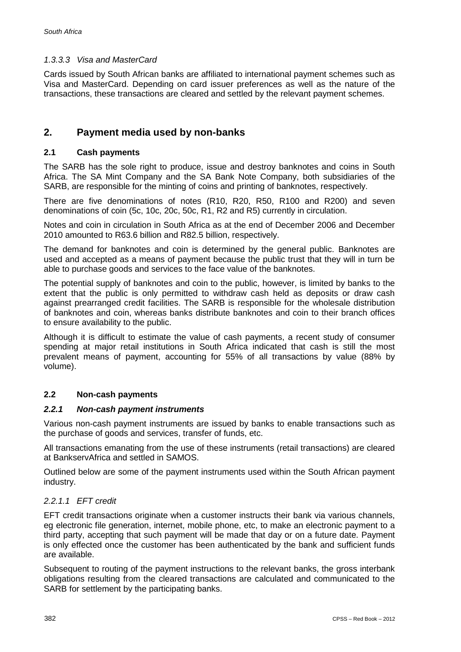# *1.3.3.3 Visa and MasterCard*

Cards issued by South African banks are affiliated to international payment schemes such as Visa and MasterCard. Depending on card issuer preferences as well as the nature of the transactions, these transactions are cleared and settled by the relevant payment schemes.

# **2. Payment media used by non-banks**

# **2.1 Cash payments**

The SARB has the sole right to produce, issue and destroy banknotes and coins in South Africa. The SA Mint Company and the SA Bank Note Company, both subsidiaries of the SARB, are responsible for the minting of coins and printing of banknotes, respectively.

There are five denominations of notes (R10, R20, R50, R100 and R200) and seven denominations of coin (5c, 10c, 20c, 50c, R1, R2 and R5) currently in circulation.

Notes and coin in circulation in South Africa as at the end of December 2006 and December 2010 amounted to R63.6 billion and R82.5 billion, respectively.

The demand for banknotes and coin is determined by the general public. Banknotes are used and accepted as a means of payment because the public trust that they will in turn be able to purchase goods and services to the face value of the banknotes.

The potential supply of banknotes and coin to the public, however, is limited by banks to the extent that the public is only permitted to withdraw cash held as deposits or draw cash against prearranged credit facilities. The SARB is responsible for the wholesale distribution of banknotes and coin, whereas banks distribute banknotes and coin to their branch offices to ensure availability to the public.

Although it is difficult to estimate the value of cash payments, a recent study of consumer spending at major retail institutions in South Africa indicated that cash is still the most prevalent means of payment, accounting for 55% of all transactions by value (88% by volume).

# **2.2 Non-cash payments**

## *2.2.1 Non-cash payment instruments*

Various non-cash payment instruments are issued by banks to enable transactions such as the purchase of goods and services, transfer of funds, etc.

All transactions emanating from the use of these instruments (retail transactions) are cleared at BankservAfrica and settled in SAMOS.

Outlined below are some of the payment instruments used within the South African payment industry.

# *2.2.1.1 EFT credit*

EFT credit transactions originate when a customer instructs their bank via various channels, eg electronic file generation, internet, mobile phone, etc, to make an electronic payment to a third party, accepting that such payment will be made that day or on a future date. Payment is only effected once the customer has been authenticated by the bank and sufficient funds are available.

Subsequent to routing of the payment instructions to the relevant banks, the gross interbank obligations resulting from the cleared transactions are calculated and communicated to the SARB for settlement by the participating banks.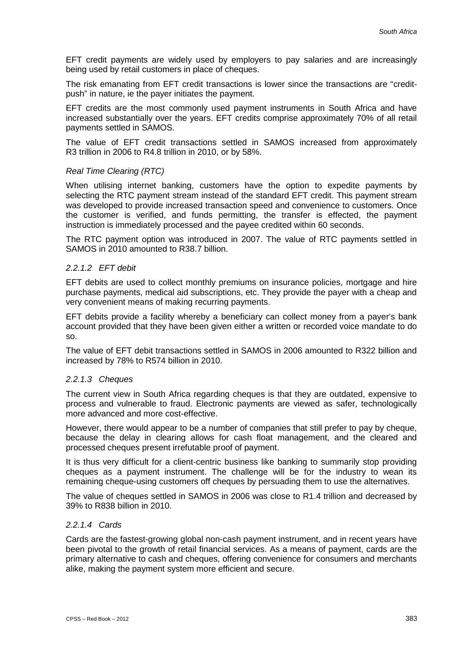EFT credit payments are widely used by employers to pay salaries and are increasingly being used by retail customers in place of cheques.

The risk emanating from EFT credit transactions is lower since the transactions are "creditpush" in nature, ie the payer initiates the payment.

EFT credits are the most commonly used payment instruments in South Africa and have increased substantially over the years. EFT credits comprise approximately 70% of all retail payments settled in SAMOS.

The value of EFT credit transactions settled in SAMOS increased from approximately R3 trillion in 2006 to R4.8 trillion in 2010, or by 58%.

#### *Real Time Clearing (RTC)*

When utilising internet banking, customers have the option to expedite payments by selecting the RTC payment stream instead of the standard EFT credit. This payment stream was developed to provide increased transaction speed and convenience to customers. Once the customer is verified, and funds permitting, the transfer is effected, the payment instruction is immediately processed and the payee credited within 60 seconds.

The RTC payment option was introduced in 2007. The value of RTC payments settled in SAMOS in 2010 amounted to R38.7 billion.

#### *2.2.1.2 EFT debit*

EFT debits are used to collect monthly premiums on insurance policies, mortgage and hire purchase payments, medical aid subscriptions, etc. They provide the payer with a cheap and very convenient means of making recurring payments.

EFT debits provide a facility whereby a beneficiary can collect money from a payer's bank account provided that they have been given either a written or recorded voice mandate to do so.

The value of EFT debit transactions settled in SAMOS in 2006 amounted to R322 billion and increased by 78% to R574 billion in 2010.

#### *2.2.1.3 Cheques*

The current view in South Africa regarding cheques is that they are outdated, expensive to process and vulnerable to fraud. Electronic payments are viewed as safer, technologically more advanced and more cost-effective.

However, there would appear to be a number of companies that still prefer to pay by cheque, because the delay in clearing allows for cash float management, and the cleared and processed cheques present irrefutable proof of payment.

It is thus very difficult for a client-centric business like banking to summarily stop providing cheques as a payment instrument. The challenge will be for the industry to wean its remaining cheque-using customers off cheques by persuading them to use the alternatives.

The value of cheques settled in SAMOS in 2006 was close to R1.4 trillion and decreased by 39% to R838 billion in 2010.

#### *2.2.1.4 Cards*

Cards are the fastest-growing global non-cash payment instrument, and in recent years have been pivotal to the growth of retail financial services. As a means of payment, cards are the primary alternative to cash and cheques, offering convenience for consumers and merchants alike, making the payment system more efficient and secure.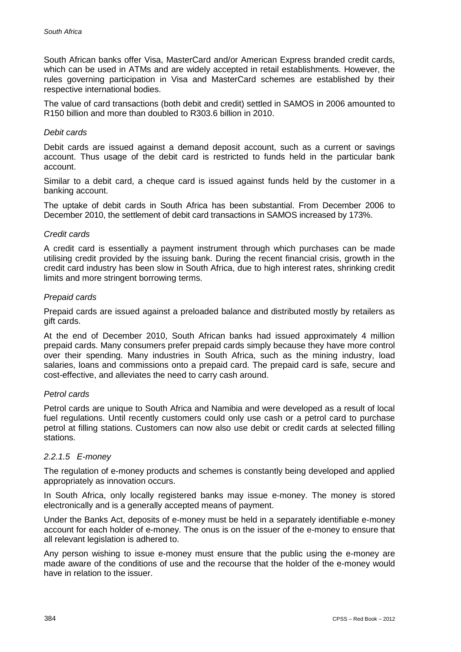South African banks offer Visa, MasterCard and/or American Express branded credit cards, which can be used in ATMs and are widely accepted in retail establishments. However, the rules governing participation in Visa and MasterCard schemes are established by their respective international bodies.

The value of card transactions (both debit and credit) settled in SAMOS in 2006 amounted to R150 billion and more than doubled to R303.6 billion in 2010.

#### *Debit cards*

Debit cards are issued against a demand deposit account, such as a current or savings account. Thus usage of the debit card is restricted to funds held in the particular bank account.

Similar to a debit card, a cheque card is issued against funds held by the customer in a banking account.

The uptake of debit cards in South Africa has been substantial. From December 2006 to December 2010, the settlement of debit card transactions in SAMOS increased by 173%.

#### *Credit cards*

A credit card is essentially a payment instrument through which purchases can be made utilising credit provided by the issuing bank. During the recent financial crisis, growth in the credit card industry has been slow in South Africa, due to high interest rates, shrinking credit limits and more stringent borrowing terms.

#### *Prepaid cards*

Prepaid cards are issued against a preloaded balance and distributed mostly by retailers as gift cards.

At the end of December 2010, South African banks had issued approximately 4 million prepaid cards. Many consumers prefer prepaid cards simply because they have more control over their spending. Many industries in South Africa, such as the mining industry, load salaries, loans and commissions onto a prepaid card. The prepaid card is safe, secure and cost-effective, and alleviates the need to carry cash around.

#### *Petrol cards*

Petrol cards are unique to South Africa and Namibia and were developed as a result of local fuel regulations. Until recently customers could only use cash or a petrol card to purchase petrol at filling stations. Customers can now also use debit or credit cards at selected filling stations.

#### *2.2.1.5 E-money*

The regulation of e-money products and schemes is constantly being developed and applied appropriately as innovation occurs.

In South Africa, only locally registered banks may issue e-money. The money is stored electronically and is a generally accepted means of payment.

Under the Banks Act, deposits of e-money must be held in a separately identifiable e-money account for each holder of e-money. The onus is on the issuer of the e-money to ensure that all relevant legislation is adhered to.

Any person wishing to issue e-money must ensure that the public using the e-money are made aware of the conditions of use and the recourse that the holder of the e-money would have in relation to the issuer.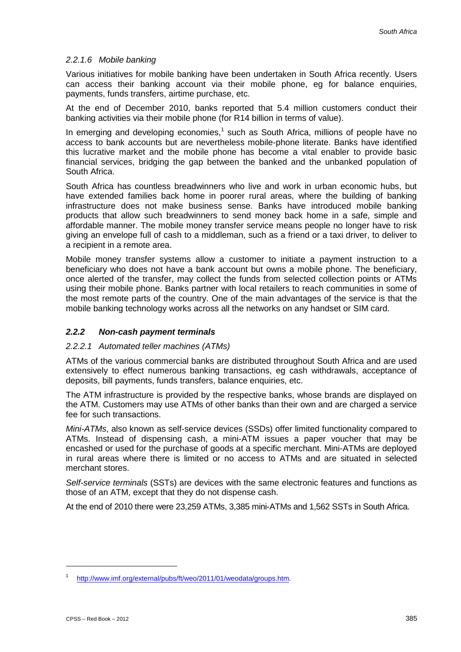## *2.2.1.6 Mobile banking*

Various initiatives for mobile banking have been undertaken in South Africa recently. Users can access their banking account via their mobile phone, eg for balance enquiries, payments, funds transfers, airtime purchase, etc.

At the end of December 2010, banks reported that 5.4 million customers conduct their banking activities via their mobile phone (for R14 billion in terms of value).

In emerging and developing economies.<sup>1</sup> such as South Africa, millions of people have no access to bank accounts but are nevertheless mobile-phone literate. Banks have identified this lucrative market and the mobile phone has become a vital enabler to provide basic financial services, bridging the gap between the banked and the unbanked population of South Africa.

South Africa has countless breadwinners who live and work in urban economic hubs, but have extended families back home in poorer rural areas, where the building of banking infrastructure does not make business sense. Banks have introduced mobile banking products that allow such breadwinners to send money back home in a safe, simple and affordable manner. The mobile money transfer service means people no longer have to risk giving an envelope full of cash to a middleman, such as a friend or a taxi driver, to deliver to a recipient in a remote area.

Mobile money transfer systems allow a customer to initiate a payment instruction to a beneficiary who does not have a bank account but owns a mobile phone. The beneficiary, once alerted of the transfer, may collect the funds from selected collection points or ATMs using their mobile phone. Banks partner with local retailers to reach communities in some of the most remote parts of the country. One of the main advantages of the service is that the mobile banking technology works across all the networks on any handset or SIM card.

## *2.2.2 Non-cash payment terminals*

#### *2.2.2.1 Automated teller machines (ATMs)*

ATMs of the various commercial banks are distributed throughout South Africa and are used extensively to effect numerous banking transactions, eg cash withdrawals, acceptance of deposits, bill payments, funds transfers, balance enquiries, etc.

The ATM infrastructure is provided by the respective banks, whose brands are displayed on the ATM. Customers may use ATMs of other banks than their own and are charged a service fee for such transactions.

*Mini-ATMs*, also known as self-service devices (SSDs) offer limited functionality compared to ATMs. Instead of dispensing cash, a mini-ATM issues a paper voucher that may be encashed or used for the purchase of goods at a specific merchant. Mini-ATMs are deployed in rural areas where there is limited or no access to ATMs and are situated in selected merchant stores.

*Self-service terminals* (SSTs) are devices with the same electronic features and functions as those of an ATM, except that they do not dispense cash.

At the end of 2010 there were 23,259 ATMs, 3,385 mini-ATMs and 1,562 SSTs in South Africa.

-

<sup>1</sup> http://www.imf.org/external/pubs/ft/weo/2011/01/weodata/groups.htm.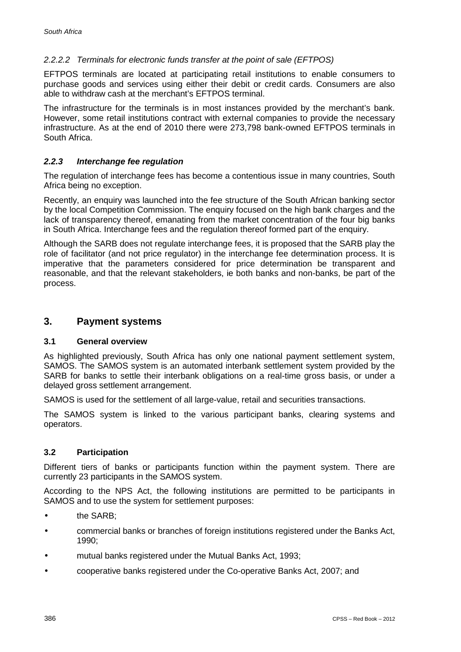# *2.2.2.2 Terminals for electronic funds transfer at the point of sale (EFTPOS)*

EFTPOS terminals are located at participating retail institutions to enable consumers to purchase goods and services using either their debit or credit cards. Consumers are also able to withdraw cash at the merchant's EFTPOS terminal.

The infrastructure for the terminals is in most instances provided by the merchant's bank. However, some retail institutions contract with external companies to provide the necessary infrastructure. As at the end of 2010 there were 273,798 bank-owned EFTPOS terminals in South Africa.

## *2.2.3 Interchange fee regulation*

The regulation of interchange fees has become a contentious issue in many countries, South Africa being no exception.

Recently, an enquiry was launched into the fee structure of the South African banking sector by the local Competition Commission. The enquiry focused on the high bank charges and the lack of transparency thereof, emanating from the market concentration of the four big banks in South Africa. Interchange fees and the regulation thereof formed part of the enquiry.

Although the SARB does not regulate interchange fees, it is proposed that the SARB play the role of facilitator (and not price regulator) in the interchange fee determination process. It is imperative that the parameters considered for price determination be transparent and reasonable, and that the relevant stakeholders, ie both banks and non-banks, be part of the process.

# **3. Payment systems**

#### **3.1 General overview**

As highlighted previously, South Africa has only one national payment settlement system, SAMOS. The SAMOS system is an automated interbank settlement system provided by the SARB for banks to settle their interbank obligations on a real-time gross basis, or under a delayed gross settlement arrangement.

SAMOS is used for the settlement of all large-value, retail and securities transactions.

The SAMOS system is linked to the various participant banks, clearing systems and operators.

## **3.2 Participation**

Different tiers of banks or participants function within the payment system. There are currently 23 participants in the SAMOS system.

According to the NPS Act, the following institutions are permitted to be participants in SAMOS and to use the system for settlement purposes:

- the SARB;
- commercial banks or branches of foreign institutions registered under the Banks Act, 1990;
- mutual banks registered under the Mutual Banks Act, 1993;
- cooperative banks registered under the Co-operative Banks Act, 2007; and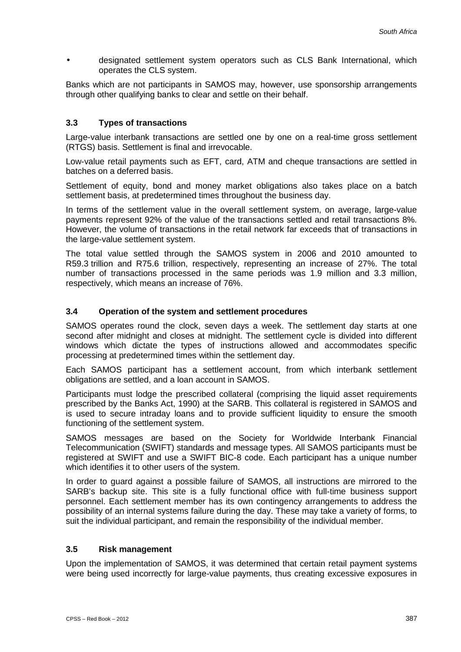designated settlement system operators such as CLS Bank International, which operates the CLS system.

Banks which are not participants in SAMOS may, however, use sponsorship arrangements through other qualifying banks to clear and settle on their behalf.

# **3.3 Types of transactions**

Large-value interbank transactions are settled one by one on a real-time gross settlement (RTGS) basis. Settlement is final and irrevocable.

Low-value retail payments such as EFT, card, ATM and cheque transactions are settled in batches on a deferred basis.

Settlement of equity, bond and money market obligations also takes place on a batch settlement basis, at predetermined times throughout the business day.

In terms of the settlement value in the overall settlement system, on average, large-value payments represent 92% of the value of the transactions settled and retail transactions 8%. However, the volume of transactions in the retail network far exceeds that of transactions in the large-value settlement system.

The total value settled through the SAMOS system in 2006 and 2010 amounted to R59.3 trillion and R75.6 trillion, respectively, representing an increase of 27%. The total number of transactions processed in the same periods was 1.9 million and 3.3 million, respectively, which means an increase of 76%.

## **3.4 Operation of the system and settlement procedures**

SAMOS operates round the clock, seven days a week. The settlement day starts at one second after midnight and closes at midnight. The settlement cycle is divided into different windows which dictate the types of instructions allowed and accommodates specific processing at predetermined times within the settlement day.

Each SAMOS participant has a settlement account, from which interbank settlement obligations are settled, and a loan account in SAMOS.

Participants must lodge the prescribed collateral (comprising the liquid asset requirements prescribed by the Banks Act, 1990) at the SARB. This collateral is registered in SAMOS and is used to secure intraday loans and to provide sufficient liquidity to ensure the smooth functioning of the settlement system.

SAMOS messages are based on the Society for Worldwide Interbank Financial Telecommunication (SWIFT) standards and message types. All SAMOS participants must be registered at SWIFT and use a SWIFT BIC-8 code. Each participant has a unique number which identifies it to other users of the system.

In order to guard against a possible failure of SAMOS, all instructions are mirrored to the SARB's backup site. This site is a fully functional office with full-time business support personnel. Each settlement member has its own contingency arrangements to address the possibility of an internal systems failure during the day. These may take a variety of forms, to suit the individual participant, and remain the responsibility of the individual member.

## **3.5 Risk management**

Upon the implementation of SAMOS, it was determined that certain retail payment systems were being used incorrectly for large-value payments, thus creating excessive exposures in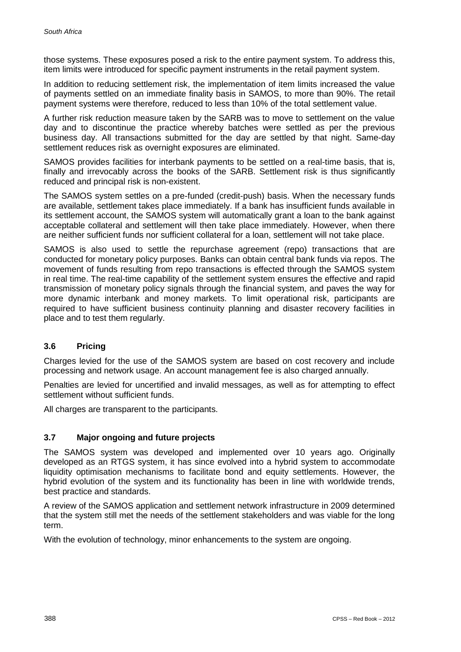those systems. These exposures posed a risk to the entire payment system. To address this, item limits were introduced for specific payment instruments in the retail payment system.

In addition to reducing settlement risk, the implementation of item limits increased the value of payments settled on an immediate finality basis in SAMOS, to more than 90%. The retail payment systems were therefore, reduced to less than 10% of the total settlement value.

A further risk reduction measure taken by the SARB was to move to settlement on the value day and to discontinue the practice whereby batches were settled as per the previous business day. All transactions submitted for the day are settled by that night. Same-day settlement reduces risk as overnight exposures are eliminated.

SAMOS provides facilities for interbank payments to be settled on a real-time basis, that is, finally and irrevocably across the books of the SARB. Settlement risk is thus significantly reduced and principal risk is non-existent.

The SAMOS system settles on a pre-funded (credit-push) basis. When the necessary funds are available, settlement takes place immediately. If a bank has insufficient funds available in its settlement account, the SAMOS system will automatically grant a loan to the bank against acceptable collateral and settlement will then take place immediately. However, when there are neither sufficient funds nor sufficient collateral for a loan, settlement will not take place.

SAMOS is also used to settle the repurchase agreement (repo) transactions that are conducted for monetary policy purposes. Banks can obtain central bank funds via repos. The movement of funds resulting from repo transactions is effected through the SAMOS system in real time. The real-time capability of the settlement system ensures the effective and rapid transmission of monetary policy signals through the financial system, and paves the way for more dynamic interbank and money markets. To limit operational risk, participants are required to have sufficient business continuity planning and disaster recovery facilities in place and to test them regularly.

## **3.6 Pricing**

Charges levied for the use of the SAMOS system are based on cost recovery and include processing and network usage. An account management fee is also charged annually.

Penalties are levied for uncertified and invalid messages, as well as for attempting to effect settlement without sufficient funds.

All charges are transparent to the participants.

#### **3.7 Major ongoing and future projects**

The SAMOS system was developed and implemented over 10 years ago. Originally developed as an RTGS system, it has since evolved into a hybrid system to accommodate liquidity optimisation mechanisms to facilitate bond and equity settlements. However, the hybrid evolution of the system and its functionality has been in line with worldwide trends, best practice and standards.

A review of the SAMOS application and settlement network infrastructure in 2009 determined that the system still met the needs of the settlement stakeholders and was viable for the long term.

With the evolution of technology, minor enhancements to the system are ongoing.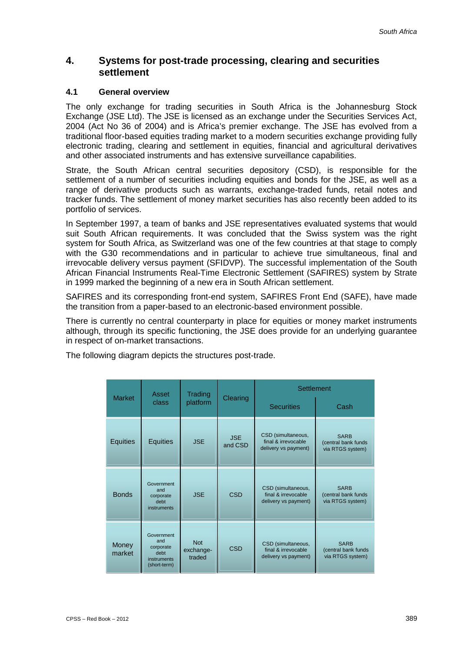# **4. Systems for post-trade processing, clearing and securities settlement**

#### **4.1 General overview**

The only exchange for trading securities in South Africa is the Johannesburg Stock Exchange (JSE Ltd). The JSE is licensed as an exchange under the Securities Services Act, 2004 (Act No 36 of 2004) and is Africa's premier exchange. The JSE has evolved from a traditional floor-based equities trading market to a modern securities exchange providing fully electronic trading, clearing and settlement in equities, financial and agricultural derivatives and other associated instruments and has extensive surveillance capabilities.

Strate, the South African central securities depository (CSD), is responsible for the settlement of a number of securities including equities and bonds for the JSE, as well as a range of derivative products such as warrants, exchange-traded funds, retail notes and tracker funds. The settlement of money market securities has also recently been added to its portfolio of services.

In September 1997, a team of banks and JSE representatives evaluated systems that would suit South African requirements. It was concluded that the Swiss system was the right system for South Africa, as Switzerland was one of the few countries at that stage to comply with the G30 recommendations and in particular to achieve true simultaneous, final and irrevocable delivery versus payment (SFIDVP). The successful implementation of the South African Financial Instruments Real-Time Electronic Settlement (SAFIRES) system by Strate in 1999 marked the beginning of a new era in South African settlement.

SAFIRES and its corresponding front-end system, SAFIRES Front End (SAFE), have made the transition from a paper-based to an electronic-based environment possible.

There is currently no central counterparty in place for equities or money market instruments although, through its specific functioning, the JSE does provide for an underlying guarantee in respect of on-market transactions.

The following diagram depicts the structures post-trade.

|                 | Asset<br>class                                                        | Trading<br>platform               | Clearing              | Settlement                                                        |                                                        |
|-----------------|-----------------------------------------------------------------------|-----------------------------------|-----------------------|-------------------------------------------------------------------|--------------------------------------------------------|
| <b>Market</b>   |                                                                       |                                   |                       | <b>Securities</b>                                                 | Cash                                                   |
| <b>Equities</b> | <b>Equities</b>                                                       | <b>JSE</b>                        | <b>JSE</b><br>and CSD | CSD (simultaneous,<br>final & irrevocable<br>delivery vs payment) | <b>SARB</b><br>(central bank funds<br>via RTGS system) |
| <b>Bonds</b>    | Government<br>and<br>corporate<br>debt<br>instruments                 | <b>JSE</b>                        | <b>CSD</b>            | CSD (simultaneous,<br>final & irrevocable<br>delivery vs payment) | <b>SARB</b><br>(central bank funds<br>via RTGS system) |
| Money<br>market | Government<br>and<br>corporate<br>debt<br>instruments<br>(short-term) | <b>Not</b><br>exchange-<br>traded | <b>CSD</b>            | CSD (simultaneous,<br>final & irrevocable<br>delivery vs payment) | <b>SARB</b><br>(central bank funds<br>via RTGS system) |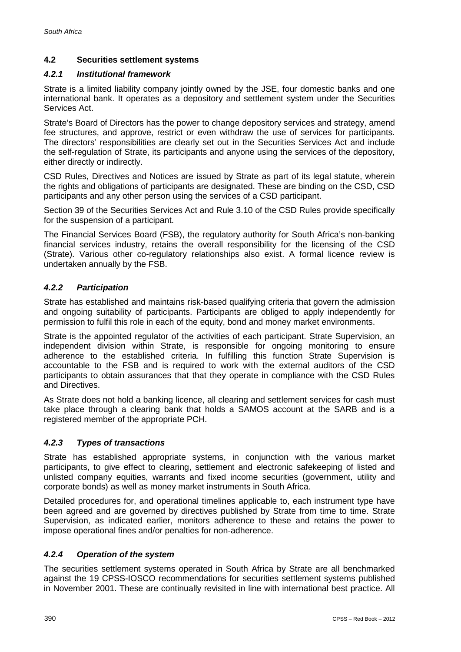# **4.2 Securities settlement systems**

## *4.2.1 Institutional framework*

Strate is a limited liability company jointly owned by the JSE, four domestic banks and one international bank. It operates as a depository and settlement system under the Securities Services Act.

Strate's Board of Directors has the power to change depository services and strategy, amend fee structures, and approve, restrict or even withdraw the use of services for participants. The directors' responsibilities are clearly set out in the Securities Services Act and include the self-regulation of Strate, its participants and anyone using the services of the depository, either directly or indirectly.

CSD Rules, Directives and Notices are issued by Strate as part of its legal statute, wherein the rights and obligations of participants are designated. These are binding on the CSD, CSD participants and any other person using the services of a CSD participant.

Section 39 of the Securities Services Act and Rule 3.10 of the CSD Rules provide specifically for the suspension of a participant.

The Financial Services Board (FSB), the regulatory authority for South Africa's non-banking financial services industry, retains the overall responsibility for the licensing of the CSD (Strate). Various other co-regulatory relationships also exist. A formal licence review is undertaken annually by the FSB.

# *4.2.2 Participation*

Strate has established and maintains risk-based qualifying criteria that govern the admission and ongoing suitability of participants. Participants are obliged to apply independently for permission to fulfil this role in each of the equity, bond and money market environments.

Strate is the appointed regulator of the activities of each participant. Strate Supervision, an independent division within Strate, is responsible for ongoing monitoring to ensure adherence to the established criteria. In fulfilling this function Strate Supervision is accountable to the FSB and is required to work with the external auditors of the CSD participants to obtain assurances that that they operate in compliance with the CSD Rules and Directives.

As Strate does not hold a banking licence, all clearing and settlement services for cash must take place through a clearing bank that holds a SAMOS account at the SARB and is a registered member of the appropriate PCH.

## *4.2.3 Types of transactions*

Strate has established appropriate systems, in conjunction with the various market participants, to give effect to clearing, settlement and electronic safekeeping of listed and unlisted company equities, warrants and fixed income securities (government, utility and corporate bonds) as well as money market instruments in South Africa.

Detailed procedures for, and operational timelines applicable to, each instrument type have been agreed and are governed by directives published by Strate from time to time. Strate Supervision, as indicated earlier, monitors adherence to these and retains the power to impose operational fines and/or penalties for non-adherence.

## *4.2.4 Operation of the system*

The securities settlement systems operated in South Africa by Strate are all benchmarked against the 19 CPSS-IOSCO recommendations for securities settlement systems published in November 2001. These are continually revisited in line with international best practice. All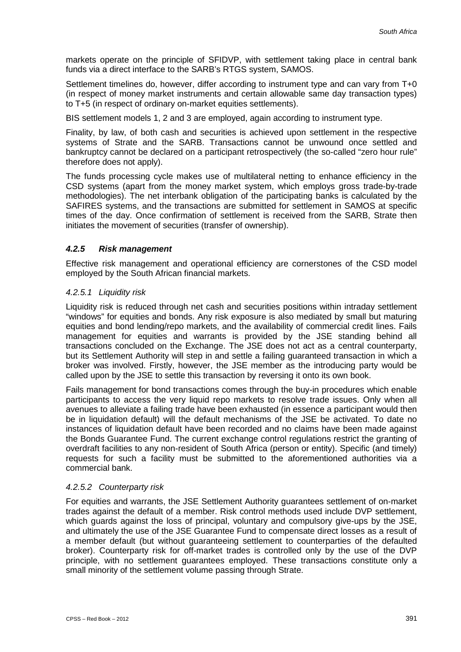markets operate on the principle of SFIDVP, with settlement taking place in central bank funds via a direct interface to the SARB's RTGS system, SAMOS.

Settlement timelines do, however, differ according to instrument type and can vary from T+0 (in respect of money market instruments and certain allowable same day transaction types) to T+5 (in respect of ordinary on-market equities settlements).

BIS settlement models 1, 2 and 3 are employed, again according to instrument type.

Finality, by law, of both cash and securities is achieved upon settlement in the respective systems of Strate and the SARB. Transactions cannot be unwound once settled and bankruptcy cannot be declared on a participant retrospectively (the so-called "zero hour rule" therefore does not apply).

The funds processing cycle makes use of multilateral netting to enhance efficiency in the CSD systems (apart from the money market system, which employs gross trade-by-trade methodologies). The net interbank obligation of the participating banks is calculated by the SAFIRES systems, and the transactions are submitted for settlement in SAMOS at specific times of the day. Once confirmation of settlement is received from the SARB, Strate then initiates the movement of securities (transfer of ownership).

## *4.2.5 Risk management*

Effective risk management and operational efficiency are cornerstones of the CSD model employed by the South African financial markets.

## *4.2.5.1 Liquidity risk*

Liquidity risk is reduced through net cash and securities positions within intraday settlement "windows" for equities and bonds. Any risk exposure is also mediated by small but maturing equities and bond lending/repo markets, and the availability of commercial credit lines. Fails management for equities and warrants is provided by the JSE standing behind all transactions concluded on the Exchange. The JSE does not act as a central counterparty, but its Settlement Authority will step in and settle a failing guaranteed transaction in which a broker was involved. Firstly, however, the JSE member as the introducing party would be called upon by the JSE to settle this transaction by reversing it onto its own book.

Fails management for bond transactions comes through the buy-in procedures which enable participants to access the very liquid repo markets to resolve trade issues. Only when all avenues to alleviate a failing trade have been exhausted (in essence a participant would then be in liquidation default) will the default mechanisms of the JSE be activated. To date no instances of liquidation default have been recorded and no claims have been made against the Bonds Guarantee Fund. The current exchange control regulations restrict the granting of overdraft facilities to any non-resident of South Africa (person or entity). Specific (and timely) requests for such a facility must be submitted to the aforementioned authorities via a commercial bank.

## *4.2.5.2 Counterparty risk*

For equities and warrants, the JSE Settlement Authority guarantees settlement of on-market trades against the default of a member. Risk control methods used include DVP settlement, which guards against the loss of principal, voluntary and compulsory give-ups by the JSE, and ultimately the use of the JSE Guarantee Fund to compensate direct losses as a result of a member default (but without guaranteeing settlement to counterparties of the defaulted broker). Counterparty risk for off-market trades is controlled only by the use of the DVP principle, with no settlement guarantees employed. These transactions constitute only a small minority of the settlement volume passing through Strate.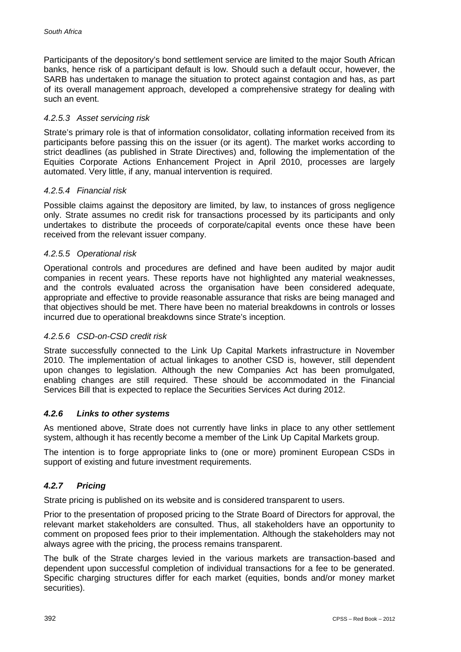Participants of the depository's bond settlement service are limited to the major South African banks, hence risk of a participant default is low. Should such a default occur, however, the SARB has undertaken to manage the situation to protect against contagion and has, as part of its overall management approach, developed a comprehensive strategy for dealing with such an event.

#### *4.2.5.3 Asset servicing risk*

Strate's primary role is that of information consolidator, collating information received from its participants before passing this on the issuer (or its agent). The market works according to strict deadlines (as published in Strate Directives) and, following the implementation of the Equities Corporate Actions Enhancement Project in April 2010, processes are largely automated. Very little, if any, manual intervention is required.

#### *4.2.5.4 Financial risk*

Possible claims against the depository are limited, by law, to instances of gross negligence only. Strate assumes no credit risk for transactions processed by its participants and only undertakes to distribute the proceeds of corporate/capital events once these have been received from the relevant issuer company.

#### *4.2.5.5 Operational risk*

Operational controls and procedures are defined and have been audited by major audit companies in recent years. These reports have not highlighted any material weaknesses, and the controls evaluated across the organisation have been considered adequate, appropriate and effective to provide reasonable assurance that risks are being managed and that objectives should be met. There have been no material breakdowns in controls or losses incurred due to operational breakdowns since Strate's inception.

## *4.2.5.6 CSD-on-CSD credit risk*

Strate successfully connected to the Link Up Capital Markets infrastructure in November 2010. The implementation of actual linkages to another CSD is, however, still dependent upon changes to legislation. Although the new Companies Act has been promulgated, enabling changes are still required. These should be accommodated in the Financial Services Bill that is expected to replace the Securities Services Act during 2012.

## *4.2.6 Links to other systems*

As mentioned above, Strate does not currently have links in place to any other settlement system, although it has recently become a member of the Link Up Capital Markets group.

The intention is to forge appropriate links to (one or more) prominent European CSDs in support of existing and future investment requirements.

## *4.2.7 Pricing*

Strate pricing is published on its website and is considered transparent to users.

Prior to the presentation of proposed pricing to the Strate Board of Directors for approval, the relevant market stakeholders are consulted. Thus, all stakeholders have an opportunity to comment on proposed fees prior to their implementation. Although the stakeholders may not always agree with the pricing, the process remains transparent.

The bulk of the Strate charges levied in the various markets are transaction-based and dependent upon successful completion of individual transactions for a fee to be generated. Specific charging structures differ for each market (equities, bonds and/or money market securities).